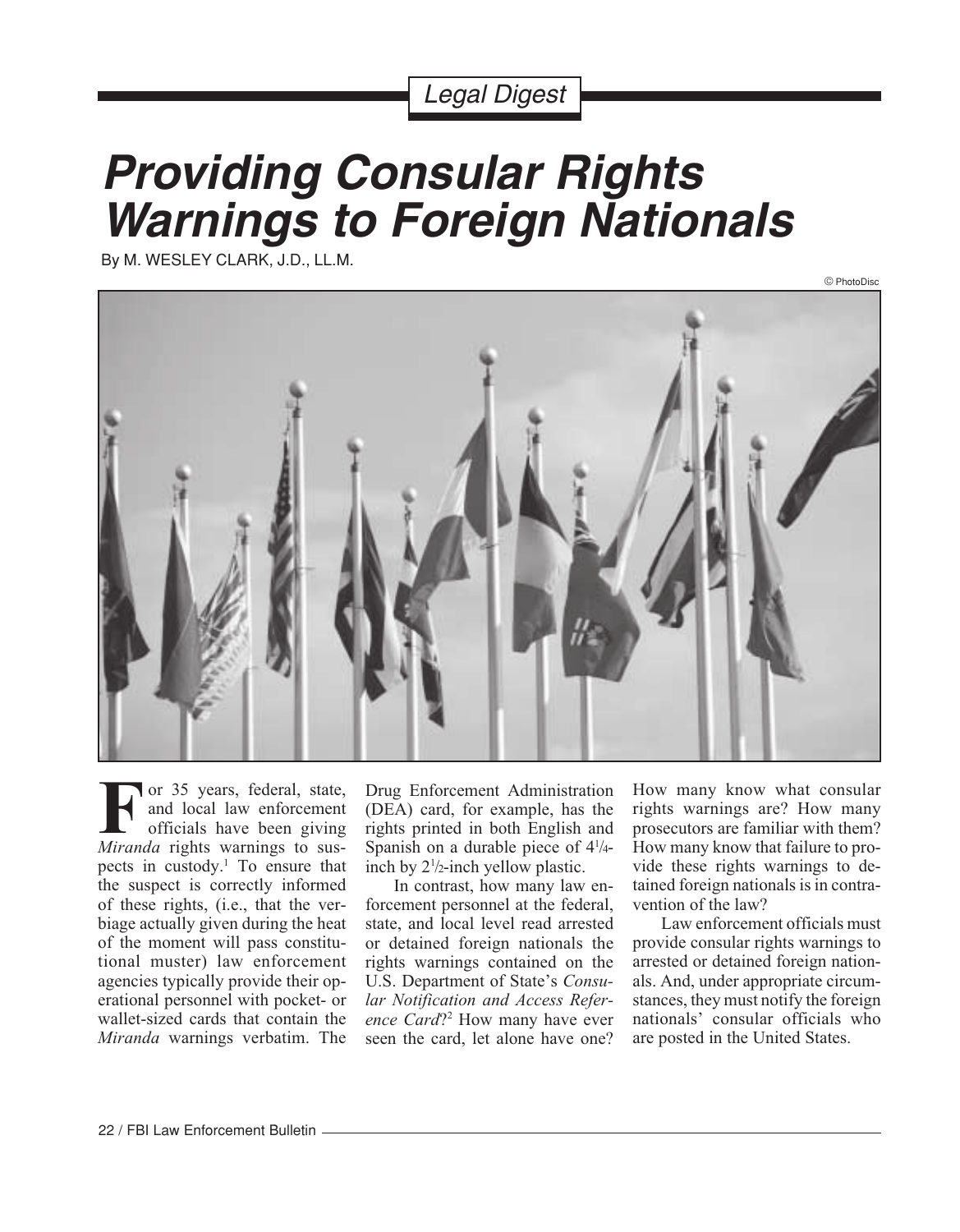## Legal Digest

# **Providing Consular Rights Warnings to Foreign Nationals**

By M. WESLEY CLARK, J.D., LL.M.



or 35 years, federal, state, and local law enforcement officials have been giving **F** or 35 years, federal, state, and local law enforcement officials have been giving *Miranda* rights warnings to suspects in custody.<sup>1</sup> To ensure that the suspect is correctly informed of these rights, (i.e., that the verbiage actually given during the heat of the moment will pass constitutional muster) law enforcement agencies typically provide their operational personnel with pocket- or wallet-sized cards that contain the *Miranda* warnings verbatim. The

Drug Enforcement Administration (DEA) card, for example, has the rights printed in both English and Spanish on a durable piece of  $4\frac{1}{4}$ inch by 21 /2-inch yellow plastic.

In contrast, how many law enforcement personnel at the federal, state, and local level read arrested or detained foreign nationals the rights warnings contained on the U.S. Department of State's *Consular Notification and Access Reference Card*?2 How many have ever seen the card, let alone have one? How many know what consular rights warnings are? How many prosecutors are familiar with them? How many know that failure to provide these rights warnings to detained foreign nationals is in contravention of the law?

Law enforcement officials must provide consular rights warnings to arrested or detained foreign nationals. And, under appropriate circumstances, they must notify the foreign nationals' consular officials who are posted in the United States.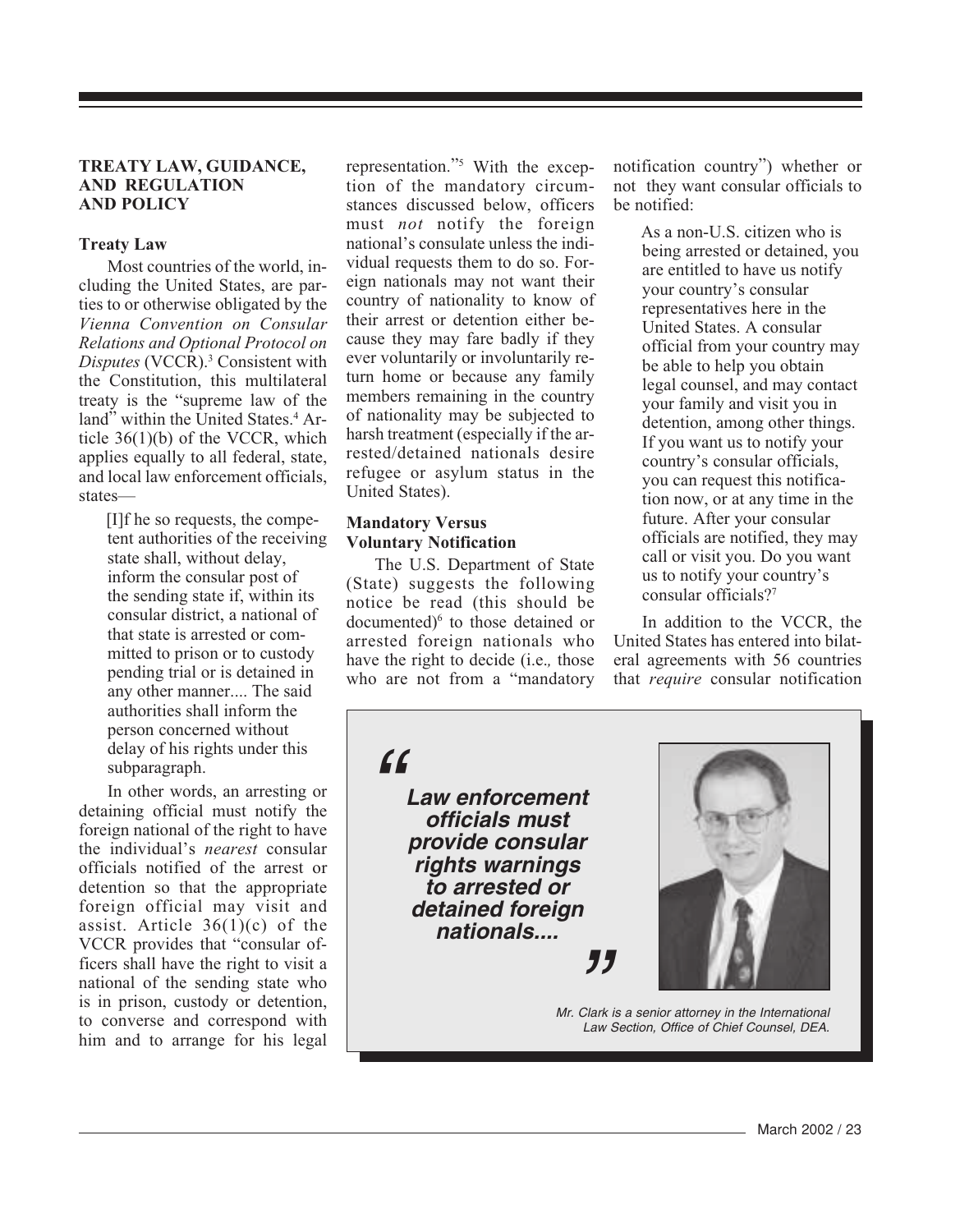#### **TREATY LAW, GUIDANCE, AND REGULATION AND POLICY**

#### **Treaty Law**

Most countries of the world, including the United States, are parties to or otherwise obligated by the *Vienna Convention on Consular Relations and Optional Protocol on* Disputes (VCCR).<sup>3</sup> Consistent with the Constitution, this multilateral treaty is the "supreme law of the land" within the United States.<sup>4</sup> Article 36(1)(b) of the VCCR, which applies equally to all federal, state, and local law enforcement officials, states—

> [I]f he so requests, the competent authorities of the receiving state shall, without delay, inform the consular post of the sending state if, within its consular district, a national of that state is arrested or committed to prison or to custody pending trial or is detained in any other manner.... The said authorities shall inform the person concerned without delay of his rights under this subparagraph.

In other words, an arresting or detaining official must notify the foreign national of the right to have the individual's *nearest* consular officials notified of the arrest or detention so that the appropriate foreign official may visit and assist. Article  $36(1)(c)$  of the VCCR provides that "consular officers shall have the right to visit a national of the sending state who is in prison, custody or detention, to converse and correspond with him and to arrange for his legal

representation."5 With the exception of the mandatory circumstances discussed below, officers must *not* notify the foreign national's consulate unless the individual requests them to do so. Foreign nationals may not want their country of nationality to know of their arrest or detention either because they may fare badly if they ever voluntarily or involuntarily return home or because any family members remaining in the country of nationality may be subjected to harsh treatment (especially if the arrested/detained nationals desire refugee or asylum status in the United States).

#### **Mandatory Versus Voluntary Notification**

The U.S. Department of State (State) suggests the following notice be read (this should be documented)<sup>6</sup> to those detained or arrested foreign nationals who have the right to decide (i.e.*,* those who are not from a "mandatory notification country") whether or not they want consular officials to be notified:

> As a non-U.S. citizen who is being arrested or detained, you are entitled to have us notify your country's consular representatives here in the United States. A consular official from your country may be able to help you obtain legal counsel, and may contact your family and visit you in detention, among other things. If you want us to notify your country's consular officials, you can request this notification now, or at any time in the future. After your consular officials are notified, they may call or visit you. Do you want us to notify your country's consular officials?7

In addition to the VCCR, the United States has entered into bilateral agreements with 56 countries that *require* consular notification

 $\epsilon$ 

**Law enforcement officials must provide consular rights warnings to arrested or detained foreign nationals....**



Mr. Clark is a senior attorney in the International Law Section, Office of Chief Counsel, DEA.

"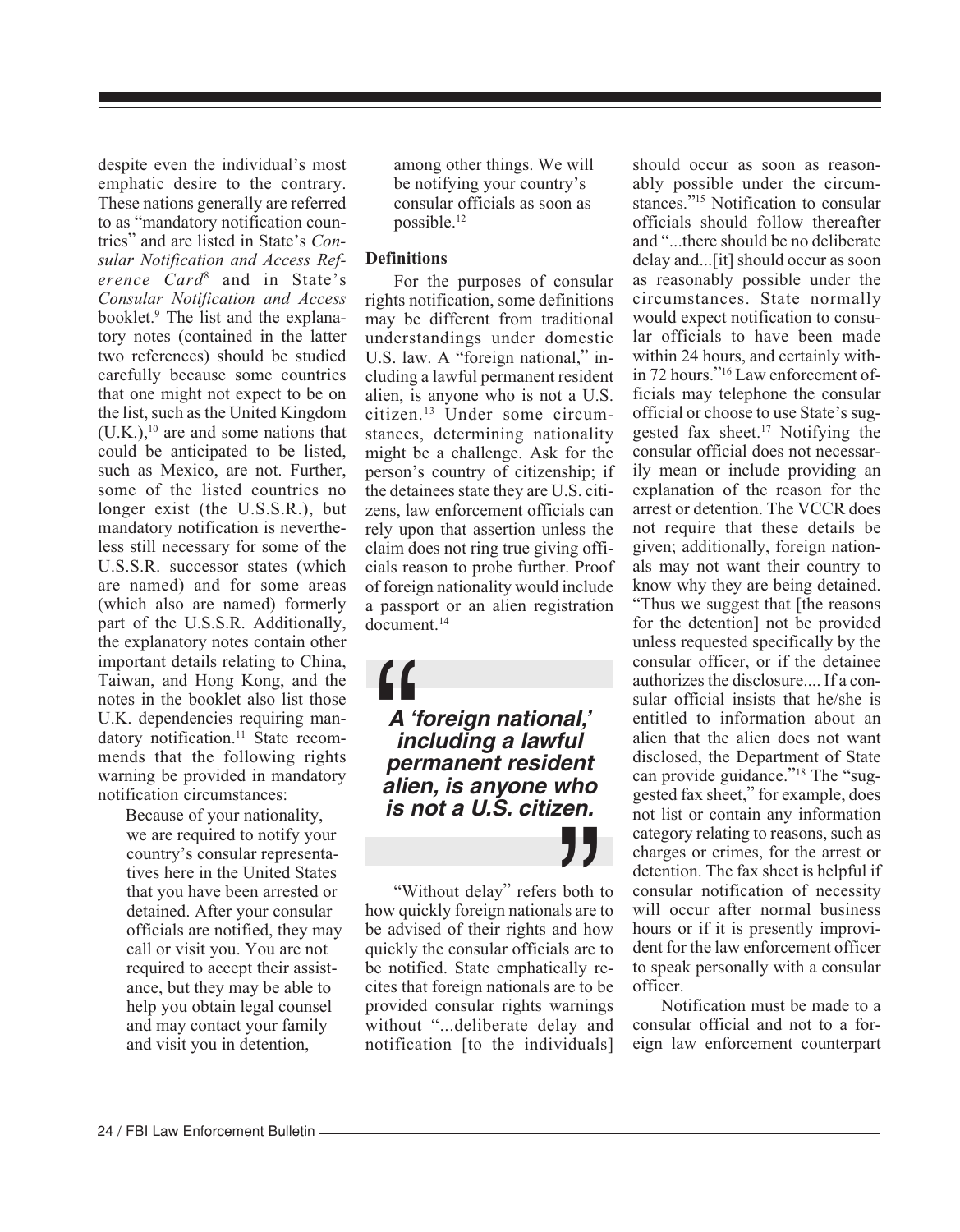despite even the individual's most emphatic desire to the contrary. These nations generally are referred to as "mandatory notification countries" and are listed in State's *Consular Notification and Access Reference Card*<sup>8</sup> and in State's *Consular Notification and Access* booklet.<sup>9</sup> The list and the explanatory notes (contained in the latter two references) should be studied carefully because some countries that one might not expect to be on the list, such as the United Kingdom  $(U.K.)$ ,<sup>10</sup> are and some nations that could be anticipated to be listed, such as Mexico, are not. Further, some of the listed countries no longer exist (the U.S.S.R.), but mandatory notification is nevertheless still necessary for some of the U.S.S.R. successor states (which are named) and for some areas (which also are named) formerly part of the U.S.S.R. Additionally, the explanatory notes contain other important details relating to China, Taiwan, and Hong Kong, and the notes in the booklet also list those U.K. dependencies requiring mandatory notification.<sup>11</sup> State recommends that the following rights warning be provided in mandatory notification circumstances:

 Because of your nationality, we are required to notify your country's consular representatives here in the United States that you have been arrested or detained. After your consular officials are notified, they may call or visit you. You are not required to accept their assistance, but they may be able to help you obtain legal counsel and may contact your family and visit you in detention,

among other things. We will be notifying your country's consular officials as soon as possible.12

#### **Definitions**

For the purposes of consular rights notification, some definitions may be different from traditional understandings under domestic U.S. law. A "foreign national," including a lawful permanent resident alien, is anyone who is not a U.S. citizen.13 Under some circumstances, determining nationality might be a challenge. Ask for the person's country of citizenship; if the detainees state they are U.S. citizens, law enforcement officials can rely upon that assertion unless the claim does not ring true giving officials reason to probe further. Proof of foreign nationality would include a passport or an alien registration document.14

**A 'foreign national,' including a lawful permanent resident alism**<br> **a** 'foreign national,'<br>
including a lawful<br>
permanent resident<br>
alien, is anyone who **is not a U.S. citizen.**

" "Without delay" refers both to how quickly foreign nationals are to be advised of their rights and how quickly the consular officials are to be notified. State emphatically recites that foreign nationals are to be provided consular rights warnings without "...deliberate delay and notification [to the individuals]

should occur as soon as reasonably possible under the circumstances."15 Notification to consular officials should follow thereafter and "...there should be no deliberate delay and...[it] should occur as soon as reasonably possible under the circumstances. State normally would expect notification to consular officials to have been made within 24 hours, and certainly within 72 hours."16 Law enforcement officials may telephone the consular official or choose to use State's suggested fax sheet.17 Notifying the consular official does not necessarily mean or include providing an explanation of the reason for the arrest or detention. The VCCR does not require that these details be given; additionally, foreign nationals may not want their country to know why they are being detained. "Thus we suggest that [the reasons for the detention] not be provided unless requested specifically by the consular officer, or if the detainee authorizes the disclosure.... If a consular official insists that he/she is entitled to information about an alien that the alien does not want disclosed, the Department of State can provide guidance."<sup>18</sup> The "suggested fax sheet," for example, does not list or contain any information category relating to reasons, such as charges or crimes, for the arrest or detention. The fax sheet is helpful if consular notification of necessity will occur after normal business hours or if it is presently improvident for the law enforcement officer to speak personally with a consular officer.

Notification must be made to a consular official and not to a foreign law enforcement counterpart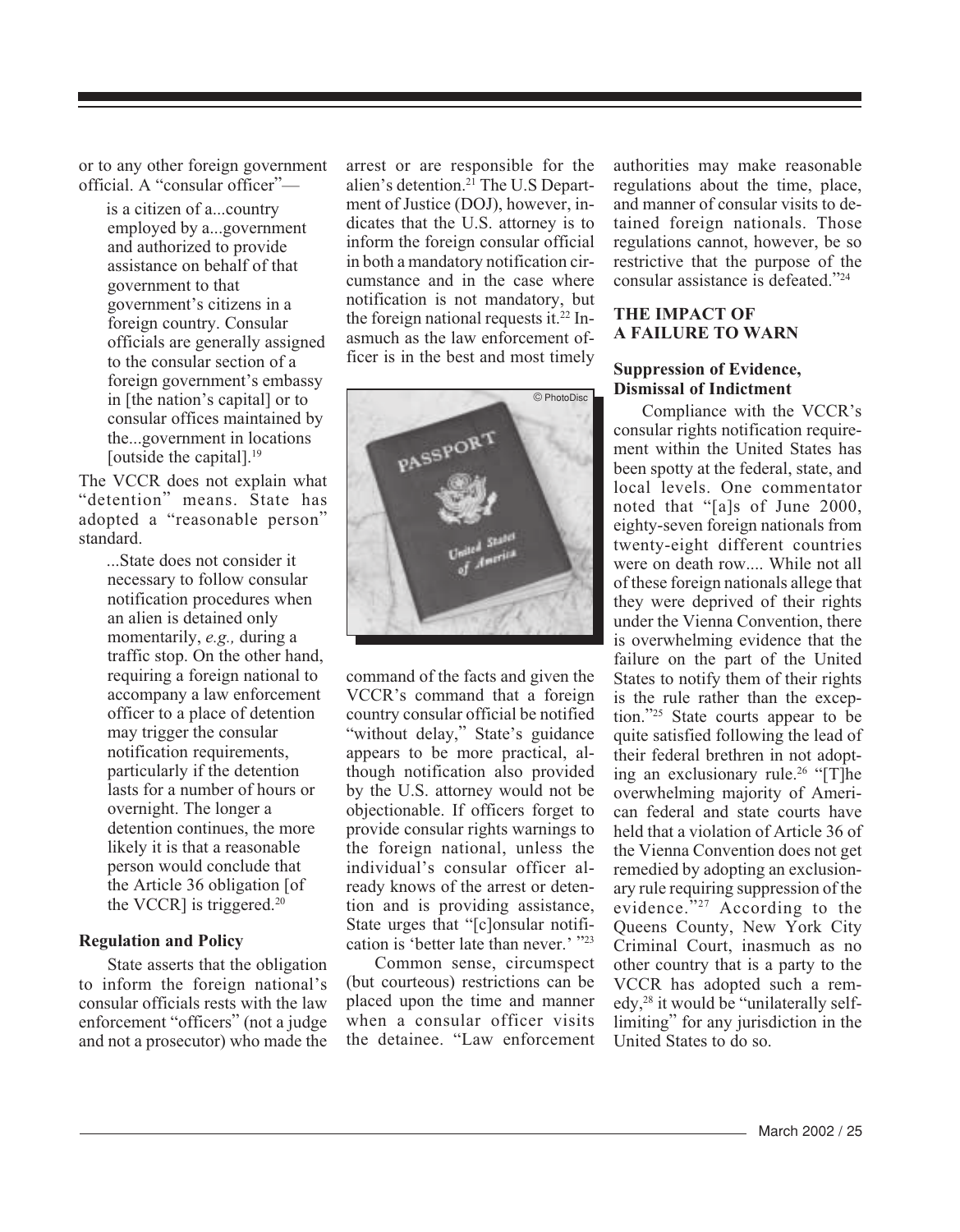or to any other foreign government official. A "consular officer"—

> is a citizen of a...country employed by a...government and authorized to provide assistance on behalf of that government to that government's citizens in a foreign country. Consular officials are generally assigned to the consular section of a foreign government's embassy in [the nation's capital] or to consular offices maintained by the...government in locations [outside the capital].<sup>19</sup>

The VCCR does not explain what "detention" means. State has adopted a "reasonable person" standard.

> ...State does not consider it necessary to follow consular notification procedures when an alien is detained only momentarily, *e.g.,* during a traffic stop. On the other hand, requiring a foreign national to accompany a law enforcement officer to a place of detention may trigger the consular notification requirements, particularly if the detention lasts for a number of hours or overnight. The longer a detention continues, the more likely it is that a reasonable person would conclude that the Article 36 obligation [of the VCCR] is triggered. $20$

#### **Regulation and Policy**

State asserts that the obligation to inform the foreign national's consular officials rests with the law enforcement "officers" (not a judge and not a prosecutor) who made the arrest or are responsible for the alien's detention.21 The U.S Department of Justice (DOJ), however, indicates that the U.S. attorney is to inform the foreign consular official in both a mandatory notification circumstance and in the case where notification is not mandatory, but the foreign national requests it.<sup>22</sup> Inasmuch as the law enforcement officer is in the best and most timely



command of the facts and given the VCCR's command that a foreign country consular official be notified "without delay," State's guidance appears to be more practical, although notification also provided by the U.S. attorney would not be objectionable. If officers forget to provide consular rights warnings to the foreign national, unless the individual's consular officer already knows of the arrest or detention and is providing assistance, State urges that "[c]onsular notification is 'better late than never.' "23

Common sense, circumspect (but courteous) restrictions can be placed upon the time and manner when a consular officer visits the detainee. "Law enforcement authorities may make reasonable regulations about the time, place, and manner of consular visits to detained foreign nationals. Those regulations cannot, however, be so restrictive that the purpose of the consular assistance is defeated."24

#### **THE IMPACT OF A FAILURE TO WARN**

#### **Suppression of Evidence, Dismissal of Indictment**

Compliance with the VCCR's consular rights notification requirement within the United States has been spotty at the federal, state, and local levels. One commentator noted that "[a]s of June 2000, eighty-seven foreign nationals from twenty-eight different countries were on death row.... While not all of these foreign nationals allege that they were deprived of their rights under the Vienna Convention, there is overwhelming evidence that the failure on the part of the United States to notify them of their rights is the rule rather than the exception."25 State courts appear to be quite satisfied following the lead of their federal brethren in not adopting an exclusionary rule.<sup>26</sup> " $[T]$ he overwhelming majority of American federal and state courts have held that a violation of Article 36 of the Vienna Convention does not get remedied by adopting an exclusionary rule requiring suppression of the evidence."<sup>27</sup> According to the Queens County, New York City Criminal Court, inasmuch as no other country that is a party to the VCCR has adopted such a remedy,28 it would be "unilaterally selflimiting" for any jurisdiction in the United States to do so.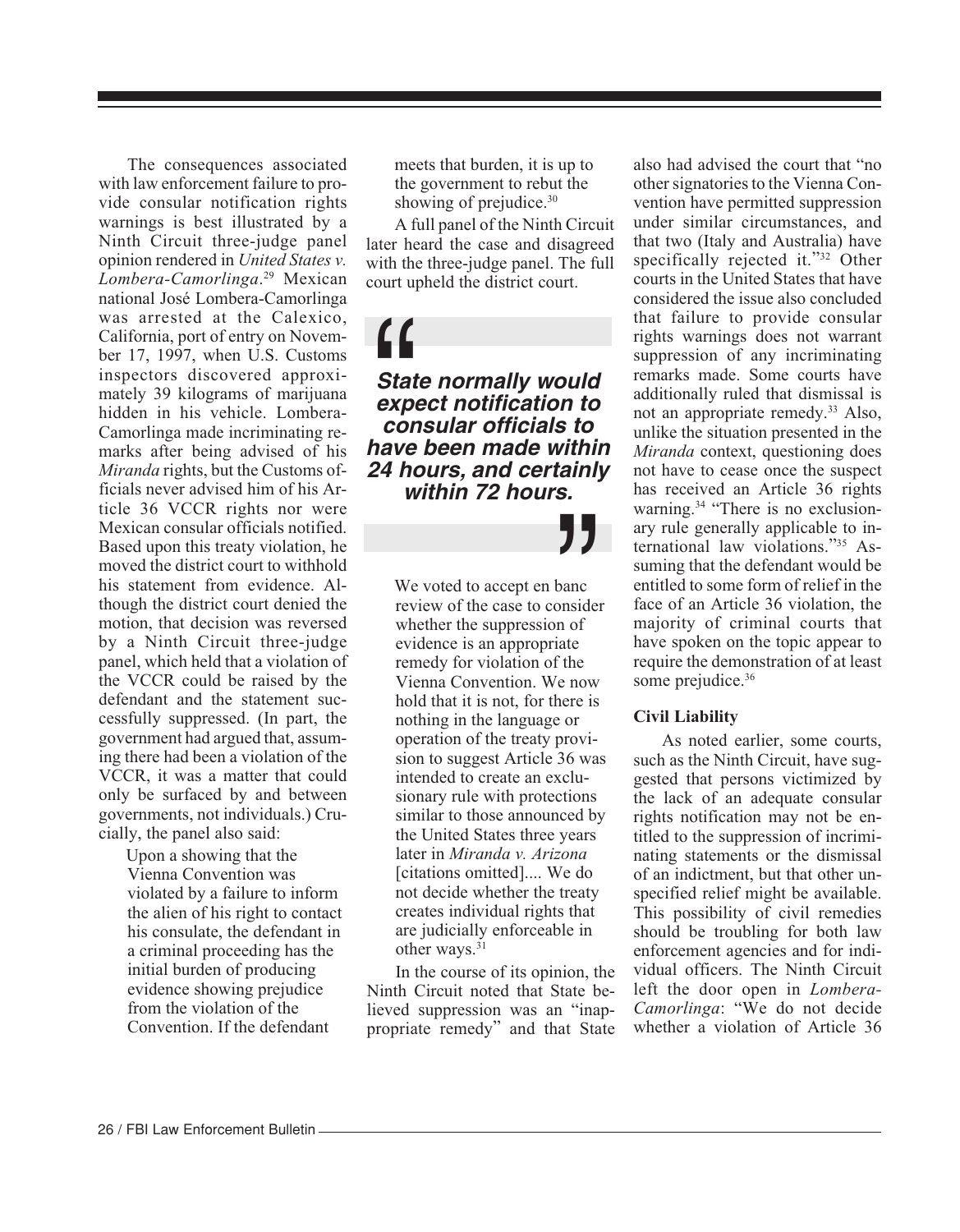The consequences associated with law enforcement failure to provide consular notification rights warnings is best illustrated by a Ninth Circuit three-judge panel opinion rendered in *United States v. Lombera-Camorlinga*. 29 Mexican national José Lombera-Camorlinga was arrested at the Calexico, California, port of entry on November 17, 1997, when U.S. Customs inspectors discovered approximately 39 kilograms of marijuana hidden in his vehicle. Lombera-Camorlinga made incriminating remarks after being advised of his *Miranda* rights, but the Customs officials never advised him of his Article 36 VCCR rights nor were Mexican consular officials notified. Based upon this treaty violation, he moved the district court to withhold his statement from evidence. Although the district court denied the motion, that decision was reversed by a Ninth Circuit three-judge panel, which held that a violation of the VCCR could be raised by the defendant and the statement successfully suppressed. (In part, the government had argued that, assuming there had been a violation of the VCCR, it was a matter that could only be surfaced by and between governments, not individuals.) Crucially, the panel also said:

 Upon a showing that the Vienna Convention was violated by a failure to inform the alien of his right to contact his consulate, the defendant in a criminal proceeding has the initial burden of producing evidence showing prejudice from the violation of the Convention. If the defendant

meets that burden, it is up to the government to rebut the showing of prejudice.<sup>30</sup>

A full panel of the Ninth Circuit later heard the case and disagreed with the three-judge panel. The full court upheld the district court.

**State normally would expect notification to consular officials to have been**<br>
State normally would<br>
expect notification to<br>
consular officials to<br>
have been made within **24 hours, and certainly within 72 hours.**

> **J J**<br>panc<br>pnsider<br>n of<br>late We voted to accept en banc review of the case to consider whether the suppression of evidence is an appropriate remedy for violation of the Vienna Convention. We now hold that it is not, for there is nothing in the language or operation of the treaty provision to suggest Article 36 was intended to create an exclusionary rule with protections similar to those announced by the United States three years later in *Miranda v. Arizona* [citations omitted].... We do not decide whether the treaty creates individual rights that are judicially enforceable in other ways.<sup>31</sup>

In the course of its opinion, the Ninth Circuit noted that State believed suppression was an "inappropriate remedy" and that State also had advised the court that "no other signatories to the Vienna Convention have permitted suppression under similar circumstances, and that two (Italy and Australia) have specifically rejected it."32 Other courts in the United States that have considered the issue also concluded that failure to provide consular rights warnings does not warrant suppression of any incriminating remarks made. Some courts have additionally ruled that dismissal is not an appropriate remedy.33 Also, unlike the situation presented in the *Miranda* context, questioning does not have to cease once the suspect has received an Article 36 rights warning.<sup>34</sup> "There is no exclusionary rule generally applicable to international law violations."35 Assuming that the defendant would be entitled to some form of relief in the face of an Article 36 violation, the majority of criminal courts that have spoken on the topic appear to require the demonstration of at least some prejudice.<sup>36</sup>

### **Civil Liability**

As noted earlier, some courts, such as the Ninth Circuit, have suggested that persons victimized by the lack of an adequate consular rights notification may not be entitled to the suppression of incriminating statements or the dismissal of an indictment, but that other unspecified relief might be available. This possibility of civil remedies should be troubling for both law enforcement agencies and for individual officers. The Ninth Circuit left the door open in *Lombera-Camorlinga*: "We do not decide whether a violation of Article 36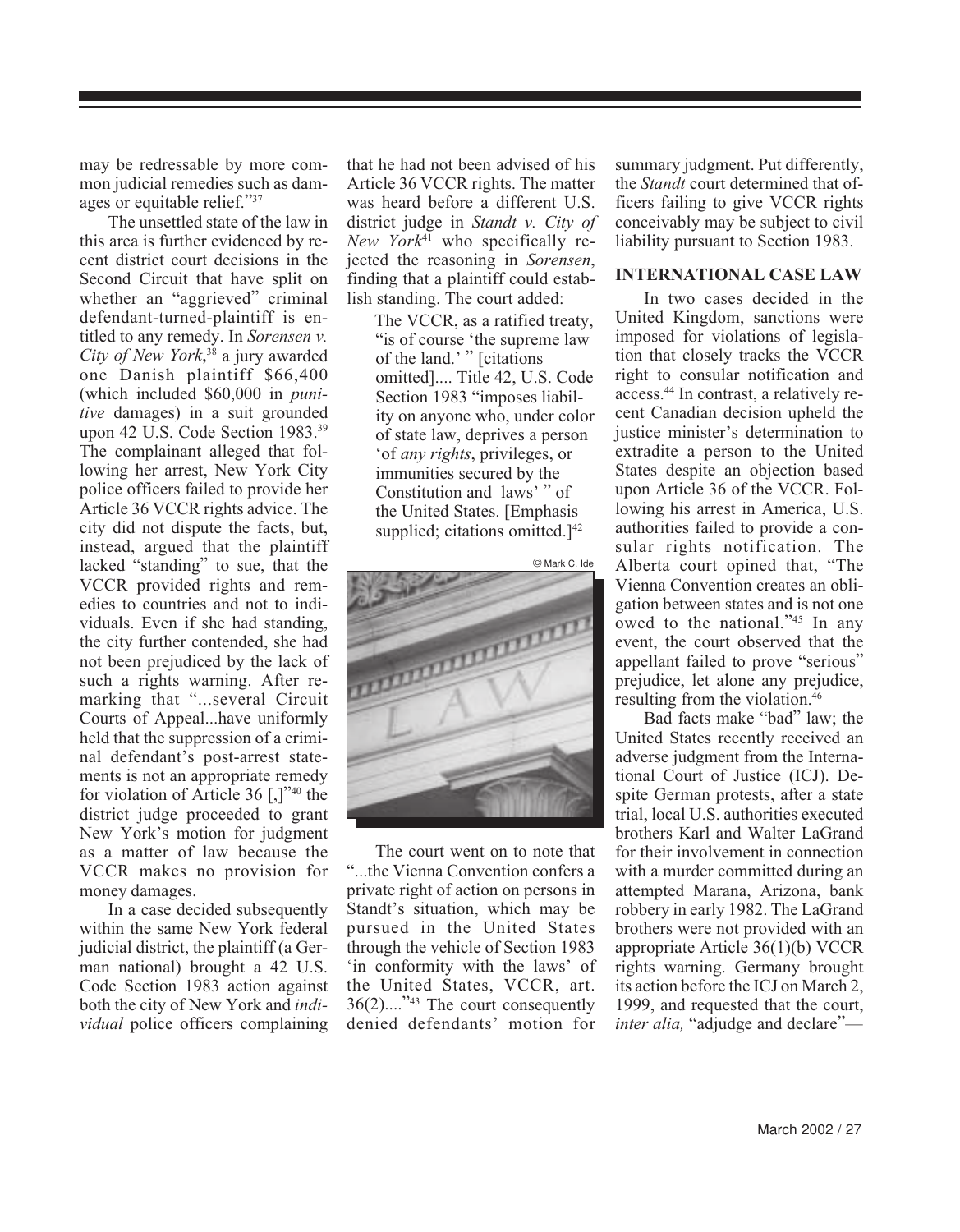may be redressable by more common judicial remedies such as damages or equitable relief."37

The unsettled state of the law in this area is further evidenced by recent district court decisions in the Second Circuit that have split on whether an "aggrieved" criminal defendant-turned-plaintiff is entitled to any remedy. In *Sorensen v. City of New York*, 38 a jury awarded one Danish plaintiff \$66,400 (which included \$60,000 in *punitive* damages) in a suit grounded upon 42 U.S. Code Section 1983.39 The complainant alleged that following her arrest, New York City police officers failed to provide her Article 36 VCCR rights advice. The city did not dispute the facts, but, instead, argued that the plaintiff lacked "standing" to sue, that the VCCR provided rights and remedies to countries and not to individuals. Even if she had standing, the city further contended, she had not been prejudiced by the lack of such a rights warning. After remarking that "...several Circuit Courts of Appeal...have uniformly held that the suppression of a criminal defendant's post-arrest statements is not an appropriate remedy for violation of Article 36 [,]"40 the district judge proceeded to grant New York's motion for judgment as a matter of law because the VCCR makes no provision for money damages.

In a case decided subsequently within the same New York federal judicial district, the plaintiff (a German national) brought a 42 U.S. Code Section 1983 action against both the city of New York and *individual* police officers complaining that he had not been advised of his Article 36 VCCR rights. The matter was heard before a different U.S. district judge in *Standt v. City of New York*41 who specifically rejected the reasoning in *Sorensen*, finding that a plaintiff could establish standing. The court added:

> The VCCR, as a ratified treaty, "is of course 'the supreme law of the land.' " [citations omitted].... Title 42, U.S. Code Section 1983 "imposes liability on anyone who, under color of state law, deprives a person 'of *any rights*, privileges, or immunities secured by the Constitution and laws' " of the United States. [Emphasis supplied; citations omitted.<sup>[42]</sup>



The court went on to note that "...the Vienna Convention confers a private right of action on persons in Standt's situation, which may be pursued in the United States through the vehicle of Section 1983 'in conformity with the laws' of the United States, VCCR, art. 36(2)...."43 The court consequently denied defendants' motion for summary judgment. Put differently, the *Standt* court determined that officers failing to give VCCR rights conceivably may be subject to civil liability pursuant to Section 1983.

#### **INTERNATIONAL CASE LAW**

In two cases decided in the United Kingdom, sanctions were imposed for violations of legislation that closely tracks the VCCR right to consular notification and access.44 In contrast, a relatively recent Canadian decision upheld the justice minister's determination to extradite a person to the United States despite an objection based upon Article 36 of the VCCR. Following his arrest in America, U.S. authorities failed to provide a consular rights notification. The Alberta court opined that, "The Vienna Convention creates an obligation between states and is not one owed to the national."45 In any event, the court observed that the appellant failed to prove "serious" prejudice, let alone any prejudice, resulting from the violation.46

Bad facts make "bad" law; the United States recently received an adverse judgment from the International Court of Justice (ICJ). Despite German protests, after a state trial, local U.S. authorities executed brothers Karl and Walter LaGrand for their involvement in connection with a murder committed during an attempted Marana, Arizona, bank robbery in early 1982. The LaGrand brothers were not provided with an appropriate Article 36(1)(b) VCCR rights warning. Germany brought its action before the ICJ on March 2, 1999, and requested that the court, *inter alia*, "adjudge and declare"—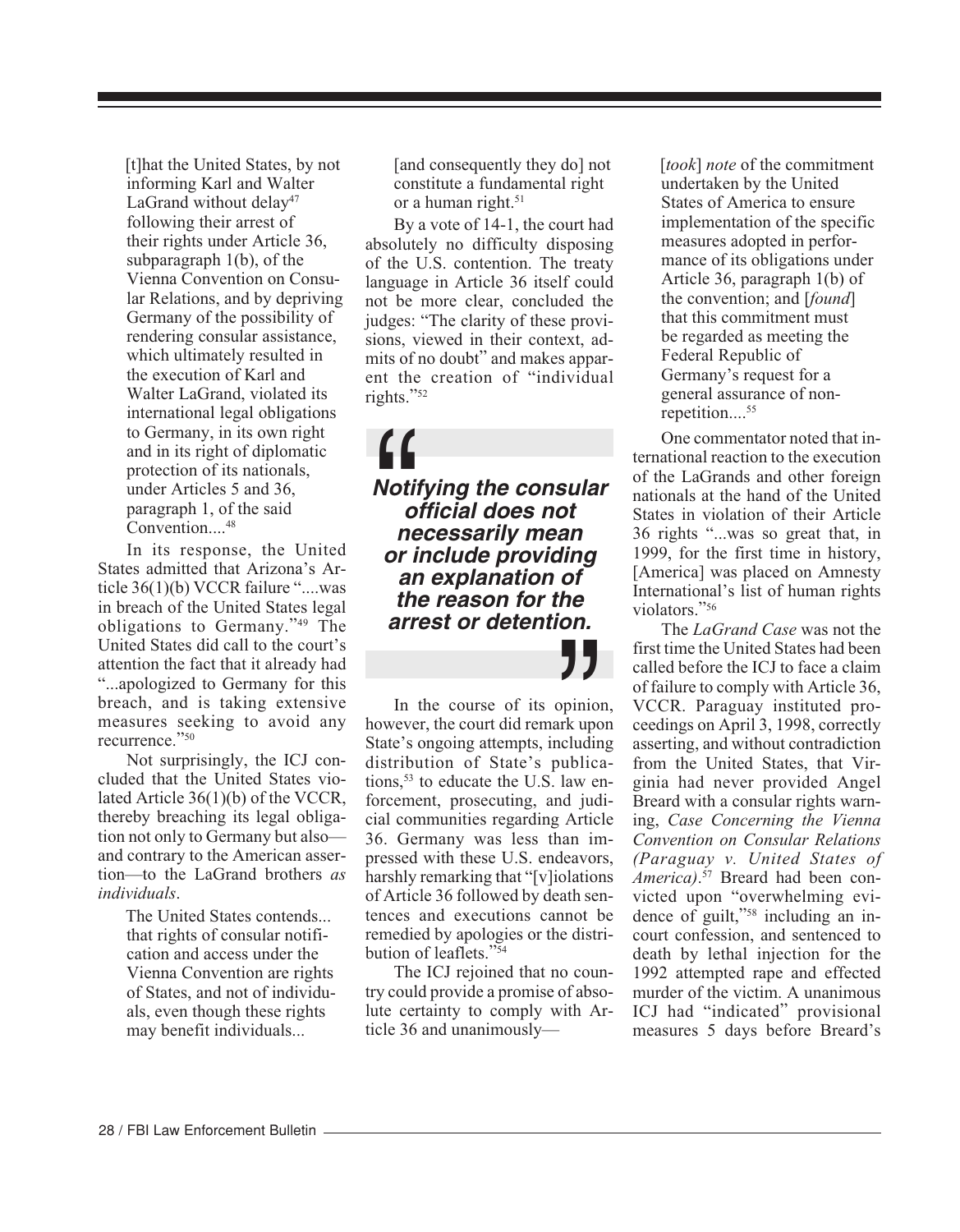[t]hat the United States, by not informing Karl and Walter LaGrand without delay<sup>47</sup> following their arrest of their rights under Article 36, subparagraph 1(b), of the Vienna Convention on Consular Relations, and by depriving Germany of the possibility of rendering consular assistance, which ultimately resulted in the execution of Karl and Walter LaGrand, violated its international legal obligations to Germany, in its own right and in its right of diplomatic protection of its nationals, under Articles 5 and 36, paragraph 1, of the said Convention....<sup>48</sup>

In its response, the United States admitted that Arizona's Article 36(1)(b) VCCR failure "....was in breach of the United States legal obligations to Germany."49 The United States did call to the court's attention the fact that it already had "...apologized to Germany for this breach, and is taking extensive measures seeking to avoid any recurrence."50

Not surprisingly, the ICJ concluded that the United States violated Article 36(1)(b) of the VCCR, thereby breaching its legal obligation not only to Germany but also and contrary to the American assertion—to the LaGrand brothers *as individuals*.

> The United States contends... that rights of consular notification and access under the Vienna Convention are rights of States, and not of individuals, even though these rights may benefit individuals...

[and consequently they do] not constitute a fundamental right or a human right.<sup>51</sup>

By a vote of 14-1, the court had absolutely no difficulty disposing of the U.S. contention. The treaty language in Article 36 itself could not be more clear, concluded the judges: "The clarity of these provisions, viewed in their context, admits of no doubt" and makes apparent the creation of "individual rights."52

**Notifying the consular official does not necessarily mean or include providing an explanation of the reason for the arrest or detention. ||**<br>| Notii<br>| or i<br>| or i

 $\sum_{\substack{\text{ppinio}\text{}\\ \text{redudir}\text{}}}\prod_{\substack{\text{evdur}\text{}}{i}}$ In the course of its opinion, however, the court did remark upon State's ongoing attempts, including distribution of State's publications, $53$  to educate the U.S. law enforcement, prosecuting, and judicial communities regarding Article 36. Germany was less than impressed with these U.S. endeavors, harshly remarking that "[v]iolations of Article 36 followed by death sentences and executions cannot be remedied by apologies or the distribution of leaflets."54

The ICJ rejoined that no country could provide a promise of absolute certainty to comply with Article 36 and unanimously [*took*] *note* of the commitment undertaken by the United States of America to ensure implementation of the specific measures adopted in performance of its obligations under Article 36, paragraph 1(b) of the convention; and [*found*] that this commitment must be regarded as meeting the Federal Republic of Germany's request for a general assurance of nonrepetition....<sup>55</sup>

One commentator noted that international reaction to the execution of the LaGrands and other foreign nationals at the hand of the United States in violation of their Article 36 rights "...was so great that, in 1999, for the first time in history, [America] was placed on Amnesty International's list of human rights violators."56

The *LaGrand Case* was not the first time the United States had been called before the ICJ to face a claim of failure to comply with Article 36, VCCR. Paraguay instituted proceedings on April 3, 1998, correctly asserting, and without contradiction from the United States, that Virginia had never provided Angel Breard with a consular rights warning, *Case Concerning the Vienna Convention on Consular Relations (Paraguay v. United States of America)*. 57 Breard had been convicted upon "overwhelming evidence of guilt,"58 including an incourt confession, and sentenced to death by lethal injection for the 1992 attempted rape and effected murder of the victim. A unanimous ICJ had "indicated" provisional measures 5 days before Breard's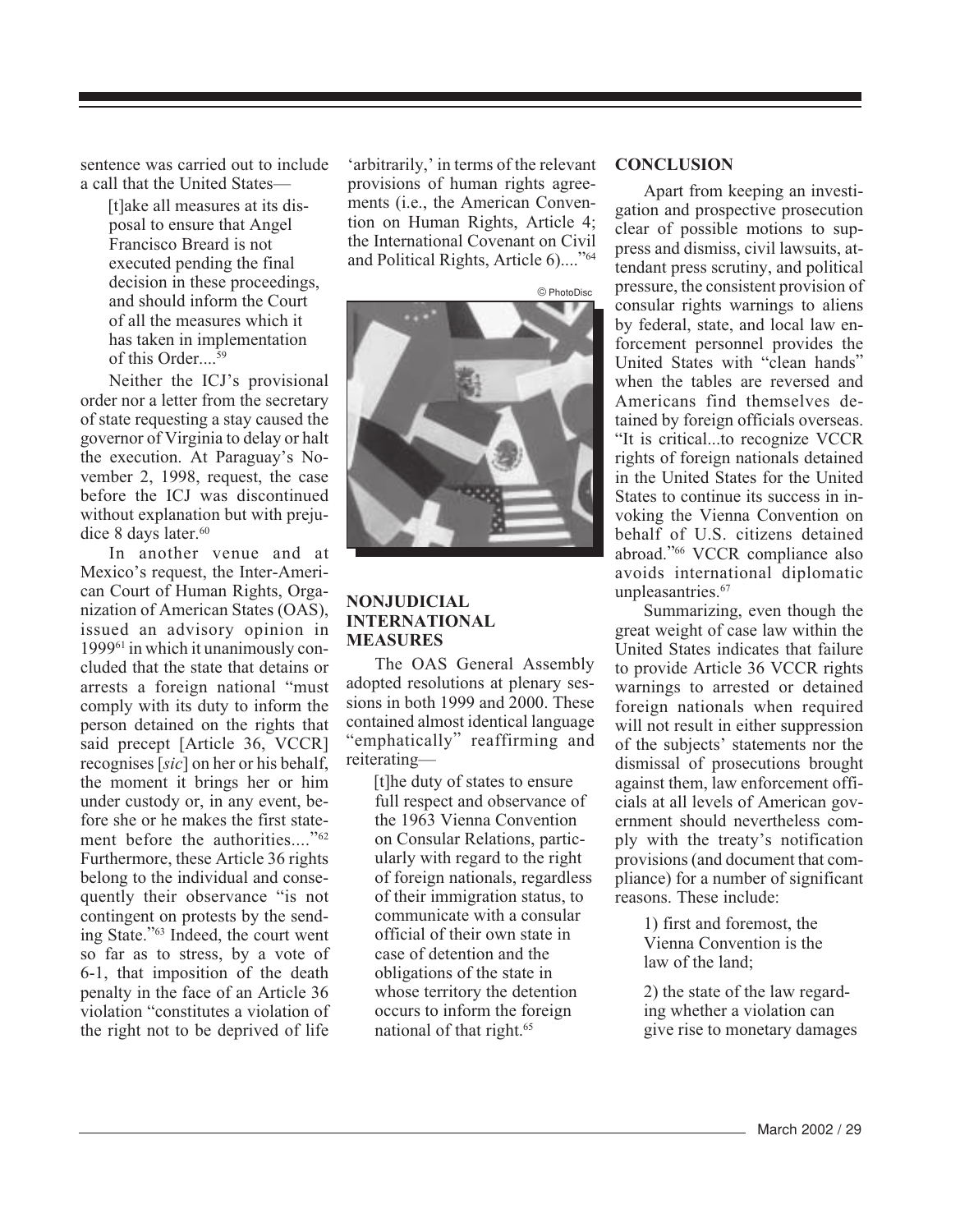sentence was carried out to include a call that the United States—

> [t]ake all measures at its disposal to ensure that Angel Francisco Breard is not executed pending the final decision in these proceedings, and should inform the Court of all the measures which it has taken in implementation of this Order. $59$

Neither the ICJ's provisional order nor a letter from the secretary of state requesting a stay caused the governor of Virginia to delay or halt the execution. At Paraguay's November 2, 1998, request, the case before the ICJ was discontinued without explanation but with prejudice 8 days later.<sup>60</sup>

In another venue and at Mexico's request, the Inter-American Court of Human Rights, Organization of American States (OAS), issued an advisory opinion in 199961 in which it unanimously concluded that the state that detains or arrests a foreign national "must comply with its duty to inform the person detained on the rights that said precept [Article 36, VCCR] recognises [*sic*] on her or his behalf, the moment it brings her or him under custody or, in any event, before she or he makes the first statement before the authorities...."<sup>62</sup> Furthermore, these Article 36 rights belong to the individual and consequently their observance "is not contingent on protests by the sending State."63 Indeed, the court went so far as to stress, by a vote of 6-1, that imposition of the death penalty in the face of an Article 36 violation "constitutes a violation of the right not to be deprived of life

'arbitrarily,' in terms of the relevant provisions of human rights agreements (i.e., the American Convention on Human Rights, Article 4; the International Covenant on Civil and Political Rights, Article 6)...."64



#### **NONJUDICIAL INTERNATIONAL MEASURES**

The OAS General Assembly adopted resolutions at plenary sessions in both 1999 and 2000. These contained almost identical language "emphatically" reaffirming and reiterating—

> [t]he duty of states to ensure full respect and observance of the 1963 Vienna Convention on Consular Relations, particularly with regard to the right of foreign nationals, regardless of their immigration status, to communicate with a consular official of their own state in case of detention and the obligations of the state in whose territory the detention occurs to inform the foreign national of that right.65

#### **CONCLUSION**

Apart from keeping an investigation and prospective prosecution clear of possible motions to suppress and dismiss, civil lawsuits, attendant press scrutiny, and political pressure, the consistent provision of consular rights warnings to aliens by federal, state, and local law enforcement personnel provides the United States with "clean hands" when the tables are reversed and Americans find themselves detained by foreign officials overseas. "It is critical...to recognize VCCR rights of foreign nationals detained in the United States for the United States to continue its success in invoking the Vienna Convention on behalf of U.S. citizens detained abroad."66 VCCR compliance also avoids international diplomatic unpleasantries.<sup>67</sup>

Summarizing, even though the great weight of case law within the United States indicates that failure to provide Article 36 VCCR rights warnings to arrested or detained foreign nationals when required will not result in either suppression of the subjects' statements nor the dismissal of prosecutions brought against them, law enforcement officials at all levels of American government should nevertheless comply with the treaty's notification provisions (and document that compliance) for a number of significant reasons. These include:

> 1) first and foremost, the Vienna Convention is the law of the land;

2) the state of the law regarding whether a violation can give rise to monetary damages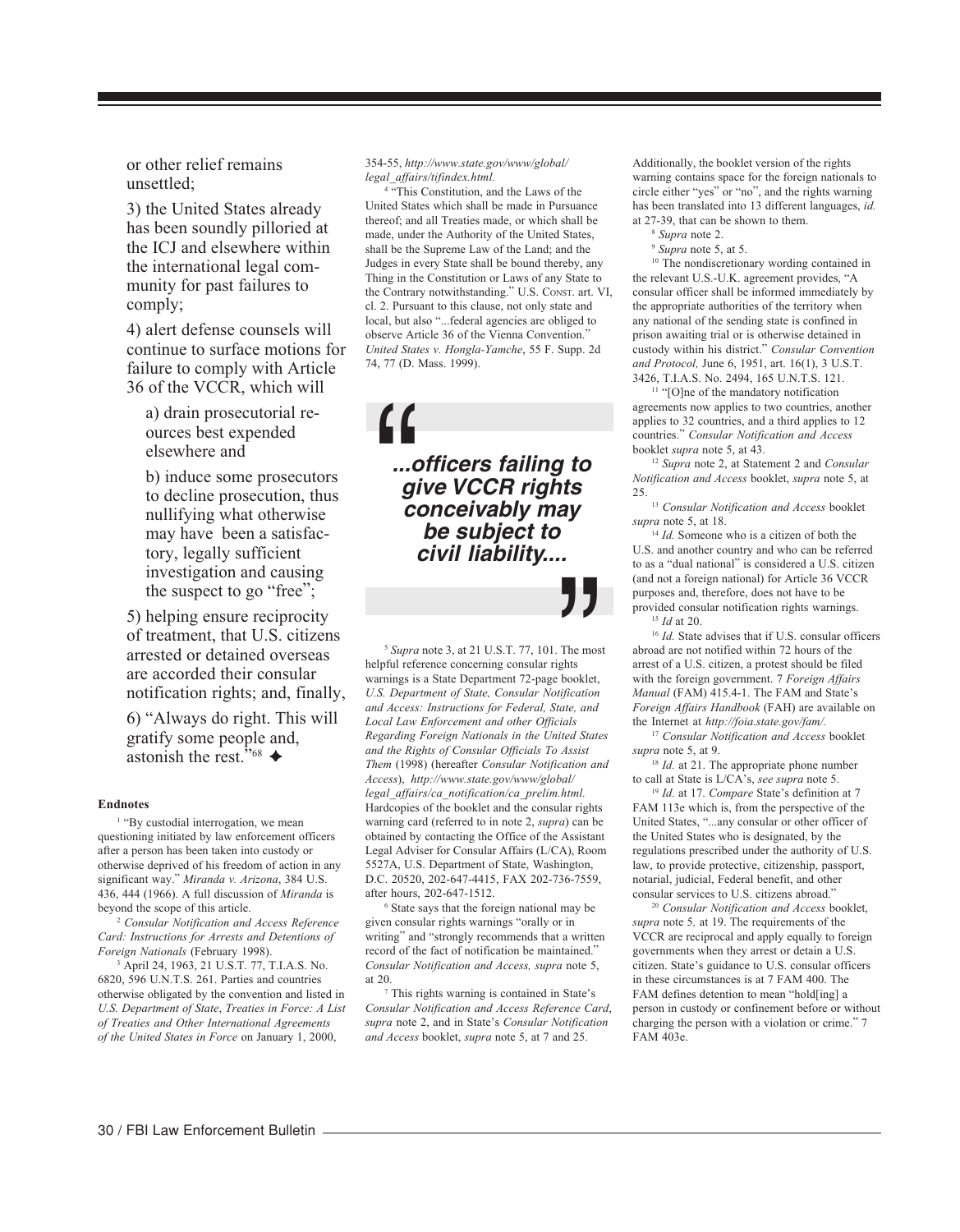or other relief remains unsettled;

3) the United States already has been soundly pilloried at the ICJ and elsewhere within the international legal community for past failures to comply;

4) alert defense counsels will continue to surface motions for failure to comply with Article 36 of the VCCR, which will

a) drain prosecutorial reources best expended elsewhere and

b) induce some prosecutors to decline prosecution, thus nullifying what otherwise may have been a satisfactory, legally sufficient investigation and causing the suspect to go "free";

5) helping ensure reciprocity of treatment, that U.S. citizens arrested or detained overseas are accorded their consular notification rights; and, finally,

6) "Always do right. This will gratify some people and, astonish the rest."<sup>68</sup>

#### **Endnotes**

<sup>1</sup> "By custodial interrogation, we mean questioning initiated by law enforcement officers after a person has been taken into custody or otherwise deprived of his freedom of action in any significant way." *Miranda v. Arizona*, 384 U.S. 436, 444 (1966). A full discussion of *Miranda* is beyond the scope of this article.

<sup>2</sup> *Consular Notification and Access Reference Card: Instructions for Arrests and Detentions of Foreign Nationals* (February 1998).

3 April 24, 1963, 21 U.S.T. 77, T.I.A.S. No. 6820, 596 U.N.T.S. 261. Parties and countries otherwise obligated by the convention and listed in *U.S. Department of State*, *Treaties in Force: A List of Treaties and Other International Agreements of the United States in Force* on January 1, 2000,

354-55, *http://www.state.gov/www/global/ legal\_affairs/tifindex.html.*

4 "This Constitution, and the Laws of the United States which shall be made in Pursuance thereof; and all Treaties made, or which shall be made, under the Authority of the United States, shall be the Supreme Law of the Land; and the Judges in every State shall be bound thereby, any Thing in the Constitution or Laws of any State to the Contrary notwithstanding." U.S. CONST. art. VI, cl. 2. Pursuant to this clause, not only state and local, but also "...federal agencies are obliged to observe Article 36 of the Vienna Convention." *United States v. Hongla-Yamche*, 55 F. Supp. 2d 74, 77 (D. Mass. 1999).

**...officers failing to give VCCR rights conceivably may be subject to civil liability....** "

The mos<br>ghts<br>booklet,<br>tification<br>ate, and <sup>5</sup> *Supra* note 3, at 21 U.S.T. 77, 101. The most helpful reference concerning consular rights warnings is a State Department 72-page booklet, *U.S. Department of State, Consular Notification and Access: Instructions for Federal, State, and Local Law Enforcement and other Officials Regarding Foreign Nationals in the United States and the Rights of Consular Officials To Assist Them* (1998) (hereafter *Consular Notification and Access*), *http://www.state.gov/www/global/ legal\_affairs/ca\_notification/ca\_prelim.html.* Hardcopies of the booklet and the consular rights warning card (referred to in note 2, *supra*) can be obtained by contacting the Office of the Assistant Legal Adviser for Consular Affairs (L/CA), Room 5527A, U.S. Department of State, Washington, D.C. 20520, 202-647-4415, FAX 202-736-7559, after hours, 202-647-1512.

6 State says that the foreign national may be given consular rights warnings "orally or in writing" and "strongly recommends that a written record of the fact of notification be maintained." *Consular Notification and Access, supra* note 5, at 20.

7 This rights warning is contained in State's *Consular Notification and Access Reference Card*, *supra* note 2, and in State's *Consular Notification and Access* booklet, *supra* note 5, at 7 and 25.

Additionally, the booklet version of the rights warning contains space for the foreign nationals to circle either "yes" or "no", and the rights warning has been translated into 13 different languages, *id.* at 27-39, that can be shown to them.

<sup>8</sup> *Supra* note 2.

<sup>9</sup> *Supra* note 5, at 5.

<sup>10</sup> The nondiscretionary wording contained in the relevant U.S.-U.K. agreement provides, "A consular officer shall be informed immediately by the appropriate authorities of the territory when any national of the sending state is confined in prison awaiting trial or is otherwise detained in custody within his district." *Consular Convention and Protocol,* June 6, 1951, art. 16(1), 3 U.S.T. 3426, T.I.A.S. No. 2494, 165 U.N.T.S. 121.

<sup>11</sup> "[O]ne of the mandatory notification agreements now applies to two countries, another applies to 32 countries, and a third applies to 12 countries." *Consular Notification and Access* booklet *supra* note 5, at 43.

<sup>12</sup> *Supra* note 2, at Statement 2 and *Consular Notification and Access* booklet, *supra* note 5, at 25.

<sup>13</sup> *Consular Notification and Access* booklet *supra* note 5, at 18.

<sup>14</sup> Id. Someone who is a citizen of both the U.S. and another country and who can be referred to as a "dual national" is considered a U.S. citizen (and not a foreign national) for Article 36 VCCR purposes and, therefore, does not have to be provided consular notification rights warnings. <sup>15</sup> *Id* at 20.

<sup>16</sup> *Id.* State advises that if U.S. consular officers abroad are not notified within 72 hours of the arrest of a U.S. citizen, a protest should be filed with the foreign government. 7 *Foreign Affairs Manual* (FAM) 415.4-1. The FAM and State's *Foreign Affairs Handbook* (FAH) are available on the Internet at *http://foia.state.gov/fam/.*

<sup>17</sup> *Consular Notification and Access* booklet *supra* note 5, at 9.

<sup>18</sup> *Id.* at 21. The appropriate phone number to call at State is L/CA's, *see supra* note 5.

<sup>19</sup> *Id.* at 17. *Compare* State's definition at 7 FAM 113e which is, from the perspective of the United States, "...any consular or other officer of the United States who is designated, by the regulations prescribed under the authority of U.S. law, to provide protective, citizenship, passport, notarial, judicial, Federal benefit, and other consular services to U.S. citizens abroad."

<sup>20</sup> *Consular Notification and Access* booklet, *supra* note 5*,* at 19. The requirements of the VCCR are reciprocal and apply equally to foreign governments when they arrest or detain a U.S. citizen. State's guidance to U.S. consular officers in these circumstances is at 7 FAM 400. The FAM defines detention to mean "hold[ing] a person in custody or confinement before or without charging the person with a violation or crime." 7 FAM 403e.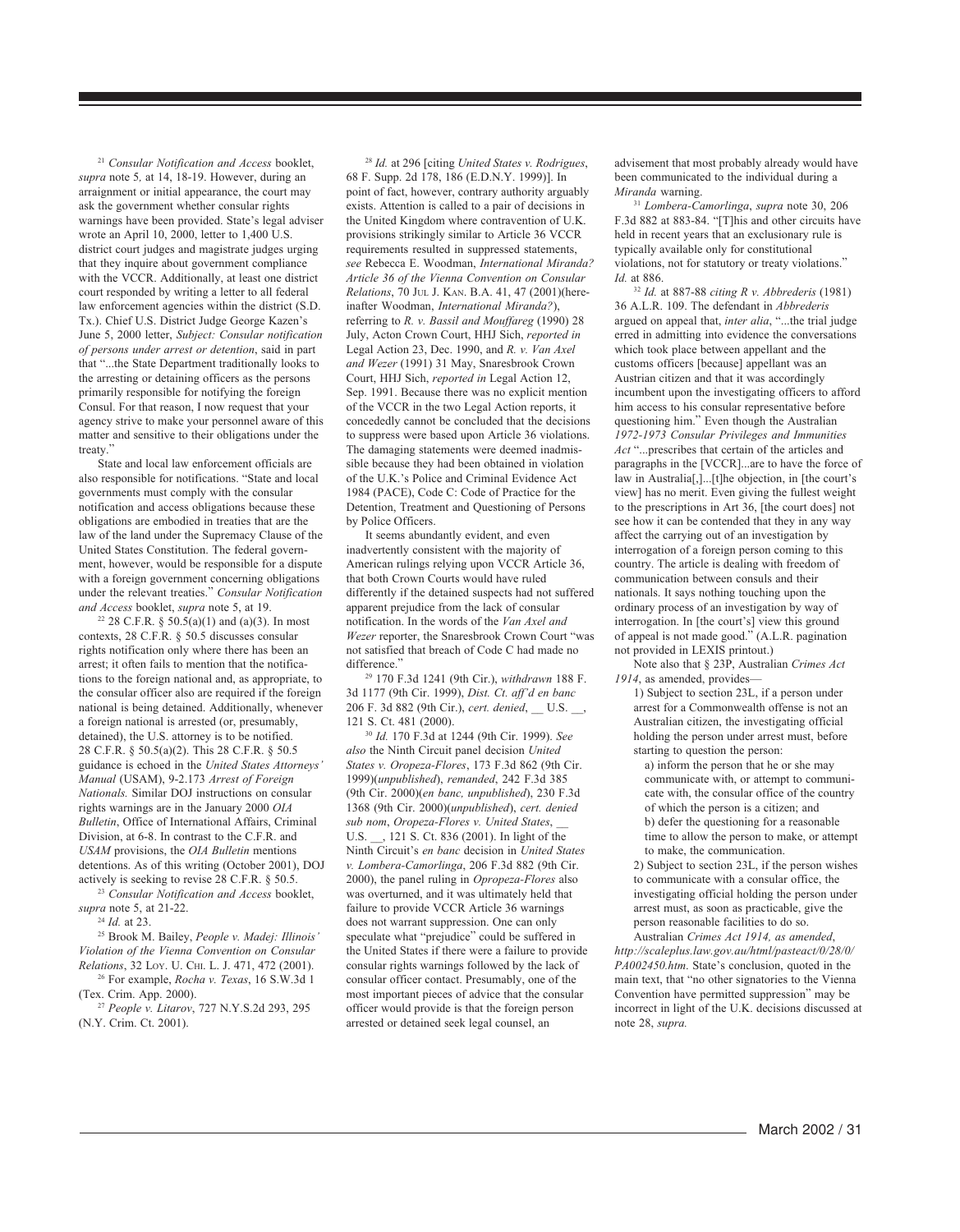<sup>21</sup> *Consular Notification and Access* booklet, *supra* note 5*,* at 14, 18-19. However, during an arraignment or initial appearance, the court may ask the government whether consular rights warnings have been provided. State's legal adviser wrote an April 10, 2000, letter to 1,400 U.S. district court judges and magistrate judges urging that they inquire about government compliance with the VCCR. Additionally, at least one district court responded by writing a letter to all federal law enforcement agencies within the district (S.D. Tx.). Chief U.S. District Judge George Kazen's June 5, 2000 letter, *Subject: Consular notification of persons under arrest or detention*, said in part that "...the State Department traditionally looks to the arresting or detaining officers as the persons primarily responsible for notifying the foreign Consul. For that reason, I now request that your agency strive to make your personnel aware of this matter and sensitive to their obligations under the treaty."

State and local law enforcement officials are also responsible for notifications. "State and local governments must comply with the consular notification and access obligations because these obligations are embodied in treaties that are the law of the land under the Supremacy Clause of the United States Constitution. The federal government, however, would be responsible for a dispute with a foreign government concerning obligations under the relevant treaties." *Consular Notification and Access* booklet, *supra* note 5, at 19.

<sup>22</sup> 28 C.F.R. § 50.5(a)(1) and (a)(3). In most contexts, 28 C.F.R. § 50.5 discusses consular rights notification only where there has been an arrest; it often fails to mention that the notifications to the foreign national and, as appropriate, to the consular officer also are required if the foreign national is being detained. Additionally, whenever a foreign national is arrested (or, presumably, detained), the U.S. attorney is to be notified. 28 C.F.R. § 50.5(a)(2). This 28 C.F.R. § 50.5 guidance is echoed in the *United States Attorneys' Manual* (USAM), 9-2.173 *Arrest of Foreign Nationals.* Similar DOJ instructions on consular rights warnings are in the January 2000 *OIA Bulletin*, Office of International Affairs, Criminal Division, at 6-8. In contrast to the C.F.R. and *USAM* provisions, the *OIA Bulletin* mentions detentions. As of this writing (October 2001), DOJ actively is seeking to revise 28 C.F.R. § 50.5.

<sup>23</sup> *Consular Notification and Access* booklet, *supra* note 5, at 21-22.

<sup>24</sup> *Id.* at 23.

25 Brook M. Bailey, *People v. Madej: Illinois' Violation of the Vienna Convention on Consular Relations*, 32 LOY. U. CHI. L. J. 471, 472 (2001). 26 For example, *Rocha v. Texas*, 16 S.W.3d 1

(Tex. Crim. App. 2000).

<sup>27</sup> *People v. Litarov*, 727 N.Y.S.2d 293, 295 (N.Y. Crim. Ct. 2001).

<sup>28</sup> *Id.* at 296 [citing *United States v. Rodrigues*, 68 F. Supp. 2d 178, 186 (E.D.N.Y. 1999)]. In point of fact, however, contrary authority arguably exists. Attention is called to a pair of decisions in the United Kingdom where contravention of U.K. provisions strikingly similar to Article 36 VCCR requirements resulted in suppressed statements, *see* Rebecca E. Woodman, *International Miranda? Article 36 of the Vienna Convention on Consular Relations*, 70 JUL J. KAN. B.A. 41, 47 (2001)(hereinafter Woodman, *International Miranda?*), referring to *R. v. Bassil and Mouffareg* (1990) 28 July, Acton Crown Court, HHJ Sich, *reported in* Legal Action 23, Dec. 1990, and *R. v. Van Axel and Wezer* (1991) 31 May, Snaresbrook Crown Court, HHJ Sich, *reported in* Legal Action 12, Sep. 1991. Because there was no explicit mention of the VCCR in the two Legal Action reports, it concededly cannot be concluded that the decisions to suppress were based upon Article 36 violations. The damaging statements were deemed inadmissible because they had been obtained in violation of the U.K.'s Police and Criminal Evidence Act 1984 (PACE), Code C: Code of Practice for the Detention, Treatment and Questioning of Persons by Police Officers.

It seems abundantly evident, and even inadvertently consistent with the majority of American rulings relying upon VCCR Article 36, that both Crown Courts would have ruled differently if the detained suspects had not suffered apparent prejudice from the lack of consular notification. In the words of the *Van Axel and Wezer* reporter, the Snaresbrook Crown Court "was not satisfied that breach of Code C had made no difference."

29 170 F.3d 1241 (9th Cir.), *withdrawn* 188 F. 3d 1177 (9th Cir. 1999), *Dist. Ct. aff'd en banc* 206 F. 3d 882 (9th Cir.), *cert. denied*, \_\_ U.S. \_\_, 121 S. Ct. 481 (2000).

<sup>30</sup> *Id.* 170 F.3d at 1244 (9th Cir. 1999). *See also* the Ninth Circuit panel decision *United States v. Oropeza-Flores*, 173 F.3d 862 (9th Cir. 1999)(*unpublished*), *remanded*, 242 F.3d 385 (9th Cir. 2000)(*en banc, unpublished*), 230 F.3d 1368 (9th Cir. 2000)(*unpublished*), *cert. denied sub nom*, *Oropeza-Flores v. United States*, \_\_ U.S. \_\_, 121 S. Ct. 836 (2001). In light of the Ninth Circuit's *en banc* decision in *United States v. Lombera-Camorlinga*, 206 F.3d 882 (9th Cir. 2000), the panel ruling in *Opropeza-Flores* also was overturned, and it was ultimately held that failure to provide VCCR Article 36 warnings does not warrant suppression. One can only speculate what "prejudice" could be suffered in the United States if there were a failure to provide consular rights warnings followed by the lack of consular officer contact. Presumably, one of the most important pieces of advice that the consular officer would provide is that the foreign person arrested or detained seek legal counsel, an

advisement that most probably already would have been communicated to the individual during a *Miranda* warning.

<sup>31</sup> *Lombera-Camorlinga*, *supra* note 30, 206 F.3d 882 at 883-84. "[T]his and other circuits have held in recent years that an exclusionary rule is typically available only for constitutional violations, not for statutory or treaty violations." *Id.* at 886.

<sup>32</sup> *Id.* at 887-88 *citing R v. Abbrederis* (1981) 36 A.L.R. 109. The defendant in *Abbrederis* argued on appeal that, *inter alia*, "...the trial judge erred in admitting into evidence the conversations which took place between appellant and the customs officers [because] appellant was an Austrian citizen and that it was accordingly incumbent upon the investigating officers to afford him access to his consular representative before questioning him." Even though the Australian *1972-1973 Consular Privileges and Immunities Act* "...prescribes that certain of the articles and paragraphs in the [VCCR]...are to have the force of law in Australia[,]...[t]he objection, in [the court's view] has no merit. Even giving the fullest weight to the prescriptions in Art 36, [the court does] not see how it can be contended that they in any way affect the carrying out of an investigation by interrogation of a foreign person coming to this country. The article is dealing with freedom of communication between consuls and their nationals. It says nothing touching upon the ordinary process of an investigation by way of interrogation. In [the court's] view this ground of appeal is not made good." (A.L.R. pagination not provided in LEXIS printout.)

Note also that § 23P, Australian *Crimes Act 1914*, as amended, provides—

1) Subject to section 23L, if a person under arrest for a Commonwealth offense is not an Australian citizen, the investigating official holding the person under arrest must, before starting to question the person:

a) inform the person that he or she may communicate with, or attempt to communicate with, the consular office of the country of which the person is a citizen; and b) defer the questioning for a reasonable time to allow the person to make, or attempt to make, the communication.

2) Subject to section 23L, if the person wishes to communicate with a consular office, the investigating official holding the person under arrest must, as soon as practicable, give the person reasonable facilities to do so.

Australian *Crimes Act 1914, as amended*, *http://scaleplus.law.gov.au/html/pasteact/0/28/0/ PA002450.htm*. State's conclusion, quoted in the main text, that "no other signatories to the Vienna Convention have permitted suppression" may be incorrect in light of the U.K. decisions discussed at note 28, *supra.*